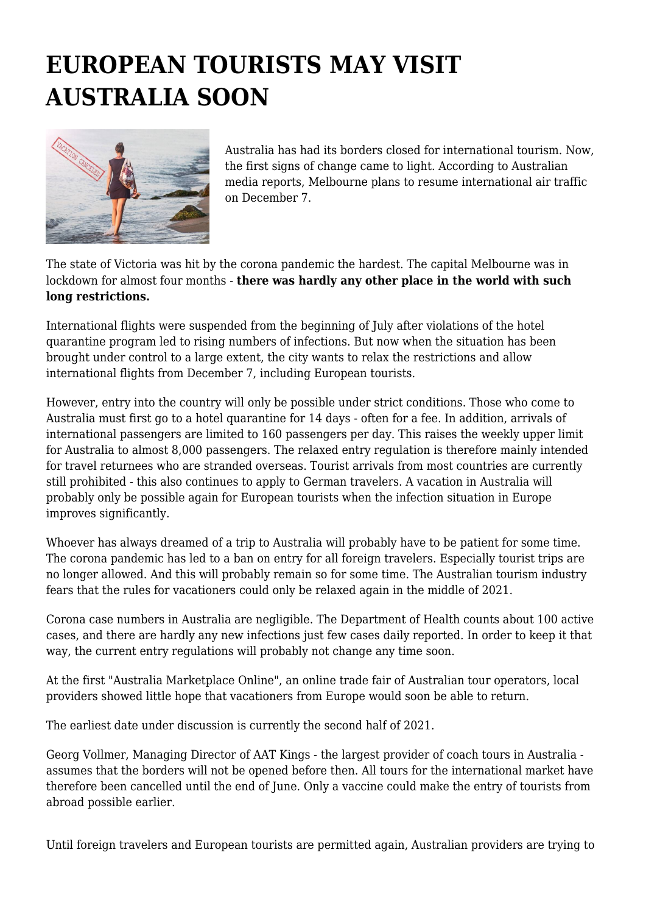## **EUROPEAN TOURISTS MAY VISIT AUSTRALIA SOON**



Australia has had its borders closed for international tourism. Now, the first signs of change came to light. According to Australian media reports, Melbourne plans to resume international air traffic on December 7.

The state of Victoria was hit by the corona pandemic the hardest. The capital Melbourne was in lockdown for almost four months - **there was hardly any other place in the world with such long restrictions.**

International flights were suspended from the beginning of July after violations of the hotel quarantine program led to rising numbers of infections. But now when the situation has been brought under control to a large extent, the city wants to relax the restrictions and allow international flights from December 7, including European tourists.

However, entry into the country will only be possible under strict conditions. Those who come to Australia must first go to a hotel quarantine for 14 days - often for a fee. In addition, arrivals of international passengers are limited to 160 passengers per day. This raises the weekly upper limit for Australia to almost 8,000 passengers. The relaxed entry regulation is therefore mainly intended for travel returnees who are stranded overseas. Tourist arrivals from most countries are currently still prohibited - this also continues to apply to German travelers. A vacation in Australia will probably only be possible again for European tourists when the infection situation in Europe improves significantly.

Whoever has always dreamed of a trip to Australia will probably have to be patient for some time. The corona pandemic has led to a ban on entry for all foreign travelers. Especially tourist trips are no longer allowed. And this will probably remain so for some time. The Australian tourism industry fears that the rules for vacationers could only be relaxed again in the middle of 2021.

Corona case numbers in Australia are negligible. The Department of Health counts about 100 active cases, and there are hardly any new infections just few cases daily reported. In order to keep it that way, the current entry regulations will probably not change any time soon.

At the first "Australia Marketplace Online", an online trade fair of Australian tour operators, local providers showed little hope that vacationers from Europe would soon be able to return.

The earliest date under discussion is currently the second half of 2021.

Georg Vollmer, Managing Director of AAT Kings - the largest provider of coach tours in Australia assumes that the borders will not be opened before then. All tours for the international market have therefore been cancelled until the end of June. Only a vaccine could make the entry of tourists from abroad possible earlier.

Until foreign travelers and European tourists are permitted again, Australian providers are trying to